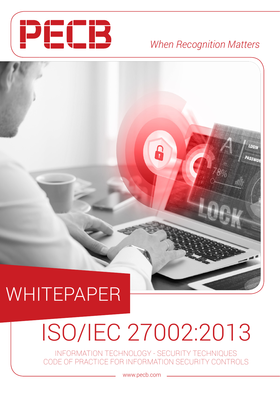

## *When Recognition Matters*

PASSWO

## WHITEPAPER

# ISO/IEC 27002:2013

8

INFORMATION TECHNOLOGY - SECURITY TECHNIQUES CODE OF PRACTICE FOR INFORMATION SECURITY CONTROLS

www.pecb.com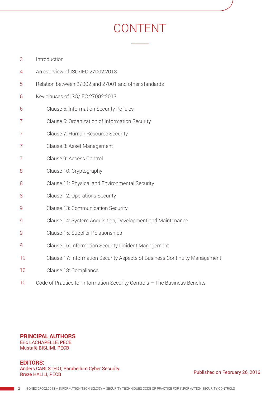## CONTENT

 $\overline{\phantom{a}}$ 

- [Introduction](#page-2-0) 3
- [An overview of ISO/IEC 27002:2013](#page-3-0) 4
- [Relation between 27002 and 27001 and other standards](#page-4-0) 5
- [Key clauses of ISO/IEC 27002:2013](#page-5-0) 6
- [Clause 5: Information Security Policies](#page-5-0) 6
- [Clause 6: Organization of Information Security](#page-6-0) 7
- [Clause 7: Human Resource Security](#page-6-0) 7
- [Clause 8: Asset Management](#page-6-0) 7
- [Clause 9: Access Control](#page-6-0) 7
- [Clause 10: Cryptography](#page-7-0) 8
- [Clause 11: Physical and Environmental Security](#page-7-0) 8
- [Clause 12: Operations Security](#page-7-0) 8
- [Clause 13: Communication Security](#page-8-0) 9
- [Clause 14: System Acquisition, Development and Maintenance](#page-8-0) 9
- [Clause 15: Supplier Relationships](#page-8-0) 9
- [Clause 16: Information Security Incident Management](#page-8-0)  $\overline{Q}$
- [Clause 17: Information Security Aspects of Business Continuity Management](#page-9-0) 10
- [Clause 18: Compliance](#page-9-0) 10
- [Code of Practice for Information Security Controls The Business Benefits](#page-9-0) 10

#### **PRINCIPAL AUTHORS** Eric LACHAPELLE, PECB

Mustafë BISLIMI, PECB

**EDITORS:** Anders CARLSTEDT, Parabellum Cyber Security Rreze HALILI, PECB

Published on February 26, 2016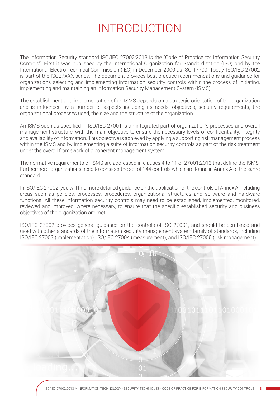## INTRODUCTION

 $\overline{\phantom{a}}$ 

<span id="page-2-0"></span>The Information Security standard ISO/IEC 27002:2013 is the "Code of Practice for Information Security Controls". First it was published by the International Organization for Standardization (ISO) and by the International Electro Technical Commission (IEC) in December 2000 as ISO 17799. Today, ISO/IEC 27002 is part of the ISO27XXX series. The document provides best practice recommendations and guidance for organizations selecting and implementing information security controls within the process of initiating, implementing and maintaining an Information Security Management System (ISMS).

The establishment and implementation of an ISMS depends on a strategic orientation of the organization and is influenced by a number of aspects including its needs, objectives, security requirements, the organizational processes used, the size and the structure of the organization.

An ISMS such as specified in ISO/IEC 27001 is an integrated part of organization's processes and overall management structure, with the main objective to ensure the necessary levels of confidentiality, integrity and availability of information. This objective is achieved by applying a supporting risk management process within the ISMS and by implementing a suite of information security controls as part of the risk treatment under the overall framework of a coherent management system.

The normative requirements of ISMS are addressed in clauses 4 to 11 of 27001:2013 that define the ISMS. Furthermore, organizations need to consider the set of 144 controls which are found in Annex A of the same standard.

In ISO/IEC 27002, you will find more detailed guidance on the application of the controls of Annex A including areas such as policies, processes, procedures, organizational structures and software and hardware functions. All these information security controls may need to be established, implemented, monitored, reviewed and improved, where necessary, to ensure that the specific established security and business objectives of the organization are met.

ISO/IEC 27002 provides general guidance on the controls of ISO 27001, and should be combined and used with other standards of the information security management system family of standards, including ISO/IEC 27003 (implementation), ISO/IEC 27004 (measurement), and ISO/IEC 27005 (risk management).

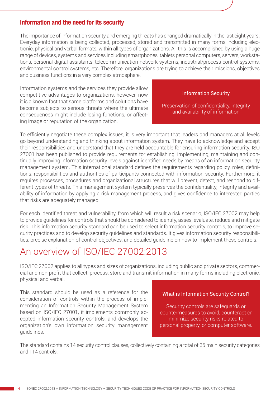#### <span id="page-3-0"></span>Information and the need for its security

The importance of information security and emerging threats has changed dramatically in the last eight years. Everyday information is being collected, processed, stored and transmitted in many forms including electronic, physical and verbal formats, within all types of organizations. All this is accomplished by using a huge range of devices, systems and services including smartphones, tablets personal computers, servers, workstations, personal digital assistants, telecommunication network systems, industrial/process control systems, environmental control systems, etc. Therefore, organizations are trying to achieve their missions, objectives and business functions in a very complex atmosphere.

Information systems and the services they provide allow competitive advantages to organizations, however, now it is a known fact that same platforms and solutions have become subjects to serious threats where the ultimate consequences might include losing functions, or affecting image or reputation of the organization.

#### Information Security

Preservation of confidentiality, integrity and availability of information

To efficiently negotiate these complex issues, it is very important that leaders and managers at all levels go beyond understanding and thinking about information system. They have to acknowledge and accept their responsibilities and understand that they are held accountable for ensuring information security. ISO 27001 has been published to provide requirements for establishing, implementing, maintaining and continually improving information security levels against identified needs by means of an information security management system. This international standard defines the requirements regarding policy, roles, definitions, responsibilities and authorities of participants connected with information security. Furthermore, it requires processes, procedures and organizational structures that will prevent, detect, and respond to different types of threats. This management system typically preserves the confidentiality, integrity and availability of information by applying a risk management process, and gives confidence to interested parties that risks are adequately managed.

For each identified threat and vulnerability, from which will result a risk scenario, ISO/IEC 27002 may help to provide guidelines for controls that should be considered to identify, asses, evaluate, reduce and mitigate risk. This information security standard can be used to select information security controls, to improve security practices and to develop security guidelines and standards. It gives information security responsibilities, precise explanation of control objectives, and detailed guideline on how to implement these controls.

### An overview of ISO/IEC 27002:2013

ISO/IEC 27002 applies to all types and sizes of organizations, including public and private sectors, commercial and non-profit that collect, process, store and transmit information in many forms including electronic, physical and verbal.

This standard should be used as a reference for the consideration of controls within the process of implementing an Information Security Management System based on ISO/IEC 27001, it implements commonly accepted information security controls, and develops the organization's own information security management guidelines.

#### What is Information Security Control?

Security controls are safeguards or countermeasures to avoid, counteract or minimize security risks related to personal property, or computer software.

The standard contains 14 security control clauses, collectively containing a total of 35 main security categories and 114 controls.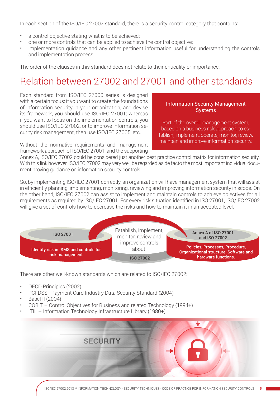<span id="page-4-0"></span>In each section of the ISO/IEC 27002 standard, there is a security control category that contains:

- a control objective stating what is to be achieved;
- one or more controls that can be applied to achieve the control objective;
- implementation guidance and any other pertinent information useful for understanding the controls and implementation process.

The order of the clauses in this standard does not relate to their criticality or importance.

## Relation between 27002 and 27001 and other standards

Each standard from ISO/IEC 27000 series is designed with a certain focus: if you want to create the foundations of information security in your organization, and devise its framework, you should use ISO/IEC 27001; whereas if you want to focus on the implementation controls, you should use ISO/IEC 27002, or to improve information security risk management, then use ISO/IEC 27005, etc.

#### Information Security Management Systems

Part of the overall management system, based on a business risk approach, to establish, implement, operate, monitor, review, maintain and improve information security.

Without the normative requirements and management framework approach of ISO/IEC 27001, and the supporting

Annex A, ISO/IEC 27002 could be considered just another best practice control matrix for information security. With this link however, ISO/IEC 27002 may very well be regarded as de facto the most important individual document proving guidance on information security controls.

So, by implementing ISO/IEC 27001 correctly, an organization will have management system that will assist in efficiently planning, implementing, monitoring, reviewing and improving information security in scope. On the other hand, ISO/IEC 27002 can assist to implement and maintain controls to achieve objectives for all requirements as required by ISO/IEC 27001. For every risk situation identified in ISO 27001, ISO/IEC 27002 will give a set of controls how to decrease the risks and how to maintain it in an accepted level.



There are other well-known standards which are related to ISO/IEC 27002:

- OECD Principles (2002)
- PCI-DSS Payment Card Industry Data Security Standard (2004)
- Basel II (2004)
- COBIT Control Objectives for Business and related Technology (1994+)
- ITIL Information Technology Infrastructure Library (1980+)

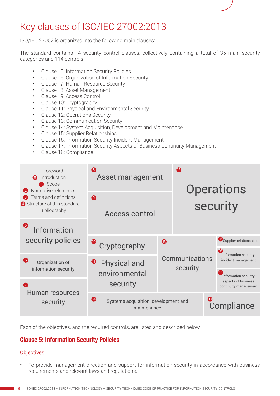## <span id="page-5-0"></span>Key clauses of ISO/IEC 27002:2013

ISO/IEC 27002 is organized into the following main clauses:

The standard contains 14 security control clauses, collectively containing a total of 35 main security categories and 114 controls.

- Clause 5: Information Security Policies
- Clause 6: Organization of Information Security
- Clause 7: Human Resource Security
- Clause 8: Asset Management
- Clause 9: Access Control
- Clause 10: Cryptography
- Clause 11: Physical and Environmental Security
- Clause 12: Operations Security
- Clause 13: Communication Security
- Clause 14: System Acquisition, Development and Maintenance
- Clause 15: Supplier Relationships
- Clause 16: Information Security Incident Management
- Clause 17: Information Security Aspects of Business Continuity Management
- Clause 18: Compliance



Each of the objectives, and the required controls, are listed and described below.

#### Clause 5: Information Security Policies

#### Objectives:

• To provide management direction and support for information security in accordance with business requirements and relevant laws and regulations.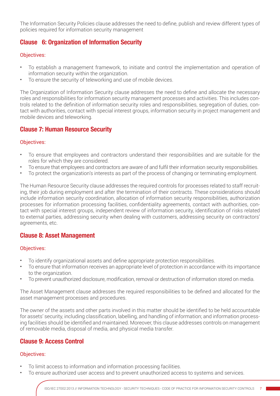<span id="page-6-0"></span>The Information Security Policies clause addresses the need to define, publish and review different types of policies required for information security management

#### Clause 6: Organization of Information Security

#### Objectives:

- To establish a management framework, to initiate and control the implementation and operation of information security within the organization.
- To ensure the security of teleworking and use of mobile devices.

The Organization of Information Security clause addresses the need to define and allocate the necessary roles and responsibilities for information security management processes and activities. This includes controls related to the definition of information security roles and responsibilities, segregation of duties, contact with authorities, contact with special interest groups, information security in project management and mobile devices and teleworking.

#### Clause 7: Human Resource Security

#### Objectives:

- To ensure that employees and contractors understand their responsibilities and are suitable for the roles for which they are considered.
- To ensure that employees and contractors are aware of and fulfil their information security responsibilities.
- To protect the organization's interests as part of the process of changing or terminating employment.

The Human Resource Security clause addresses the required controls for processes related to staff recruiting, their job during employment and after the termination of their contracts. These considerations should include information security coordination, allocation of information security responsibilities, authorization processes for information processing facilities, confidentiality agreements, contact with authorities, contact with special interest groups, independent review of information security, identification of risks related to external parties, addressing security when dealing with customers, addressing security on contractors' agreements, etc.

#### Clause 8: Asset Management

#### Objectives:

- To identify organizational assets and define appropriate protection responsibilities.
- To ensure that information receives an appropriate level of protection in accordance with its importance to the organization.
- To prevent unauthorized disclosure, modification, removal or destruction of information stored on media.

The Asset Management clause addresses the required responsibilities to be defined and allocated for the asset management processes and procedures.

The owner of the assets and other parts involved in this matter should be identified to be held accountable for assets' security, including classification, labelling, and handling of information; and information processing facilities should be identified and maintained. Moreover, this clause addresses controls on management of removable media, disposal of media, and physical media transfer.

#### Clause 9: Access Control

#### Objectives:

- To limit access to information and information processing facilities.
- To ensure authorized user access and to prevent unauthorized access to systems and services.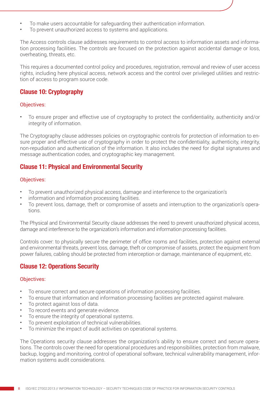- <span id="page-7-0"></span>• To make users accountable for safeguarding their authentication information.
- To prevent unauthorized access to systems and applications.

The Access controls clause addresses requirements to control access to information assets and information processing facilities. The controls are focused on the protection against accidental damage or loss, overheating, threats, etc.

This requires a documented control policy and procedures, registration, removal and review of user access rights, including here physical access, network access and the control over privileged utilities and restriction of access to program source code.

#### Clause 10: Cryptography

#### Objectives:

• To ensure proper and effective use of cryptography to protect the confidentiality, authenticity and/or integrity of information.

The Cryptography clause addresses policies on cryptographic controls for protection of information to ensure proper and effective use of cryptography in order to protect the confidentiality, authenticity, integrity, non-repudiation and authentication of the information. It also includes the need for digital signatures and message authentication codes, and cryptographic key management.

#### Clause 11: Physical and Environmental Security

#### Objectives:

- To prevent unauthorized physical access, damage and interference to the organization's
- information and information processing facilities.
- To prevent loss, damage, theft or compromise of assets and interruption to the organization's operations.

The Physical and Environmental Security clause addresses the need to prevent unauthorized physical access, damage and interference to the organization's information and information processing facilities.

Controls cover: to physically secure the perimeter of office rooms and facilities, protection against external and environmental threats, prevent loss, damage, theft or compromise of assets, protect the equipment from power failures, cabling should be protected from interception or damage, maintenance of equipment, etc.

#### Clause 12: Operations Security

#### Objectives:

- To ensure correct and secure operations of information processing facilities.
- To ensure that information and information processing facilities are protected against malware.
- To protect against loss of data.
- To record events and generate evidence.
- To ensure the integrity of operational systems.
- To prevent exploitation of technical vulnerabilities.
- To minimize the impact of audit activities on operational systems.

The Operations security clause addresses the organization's ability to ensure correct and secure operations. The controls cover the need for operational procedures and responsibilities, protection from malware, backup, logging and monitoring, control of operational software, technical vulnerability management, information systems audit considerations.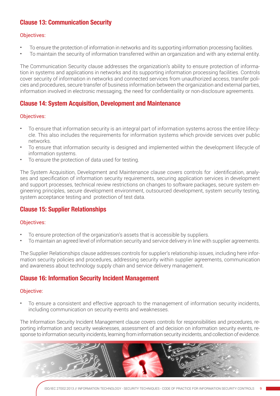#### <span id="page-8-0"></span>Clause 13: Communication Security

#### Objectives:

- To ensure the protection of information in networks and its supporting information processing facilities.
- To maintain the security of information transferred within an organization and with any external entity.

The Communication Security clause addresses the organization's ability to ensure protection of information in systems and applications in networks and its supporting information processing facilities. Controls cover security of information in networks and connected services from unauthorized access, transfer policies and procedures, secure transfer of business information between the organization and external parties, information involved in electronic messaging, the need for confidentiality or non-disclosure agreements.

#### Clause 14: System Acquisition, Development and Maintenance

#### Objectives:

- To ensure that information security is an integral part of information systems across the entire lifecycle. This also includes the requirements for information systems which provide services over public networks.
- To ensure that information security is designed and implemented within the development lifecycle of information systems.
- To ensure the protection of data used for testing.

The System Acquisition, Development and Maintenance clause covers controls for identification, analyses and specification of information security requirements, securing application services in development and support processes, technical review restrictions on changes to software packages, secure system engineering principles, secure development environment, outsourced development, system security testing, system acceptance testing and protection of test data.

#### Clause 15: Supplier Relationships

#### Objectives:

- To ensure protection of the organization's assets that is accessible by suppliers.
- To maintain an agreed level of information security and service delivery in line with supplier agreements.

The Supplier Relationships clause addresses controls for supplier's relationship issues, including here information security policies and procedures, addressing security within supplier agreements, communication and awareness about technology supply chain and service delivery management.

#### Clause 16: Information Security Incident Management

#### Objective:

• To ensure a consistent and effective approach to the management of information security incidents, including communication on security events and weaknesses.

The Information Security Incident Management clause covers controls for responsibilities and procedures, reporting information and security weaknesses, assessment of and decision on information security events, response to information security incidents, learning from information security incidents, and collection of evidence.

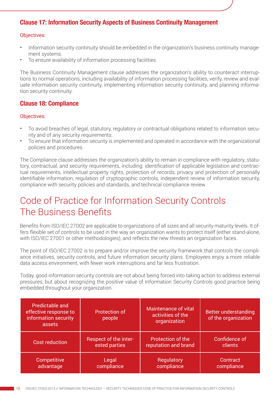#### <span id="page-9-0"></span>Clause 17: Information Security Aspects of Business Continuity Management

#### Objectives:

- Information security continuity should be embedded in the organization's business continuity management systems.
- To ensure availability of information processing facilities.

The Business Continuity Management clause addresses the organization's ability to counteract interruptions to normal operations, including availability of information processing facilities, verify, review and evaluate information security continuity, implementing information security continuity, and planning information security continuity.

#### Clause 18: Compliance

#### Objectives:

- To avoid breaches of legal, statutory, regulatory or contractual obligations related to information security and of any security requirements.
- To ensure that information security is implemented and operated in accordance with the organizational policies and procedures.

The Compliance clause addresses the organization's ability to remain in compliance with regulatory, statutory, contractual, and security requirements, including: identification of applicable legislation and contractual requirements, intellectual property rights, protection of records, privacy and protection of personally identifiable information, regulation of cryptographic controls, independent review of information security, compliance with security policies and standards, and technical compliance review.

## Code of Practice for Information Security Controls The Business Benefits

Benefits from ISO/IEC 27002 are applicable to organizations of all sizes and all security maturity levels. It offers flexible set of controls to be used in the way an organization wants to protect itself (either stand-alone, with ISO/IEC 27001 or other methodologies), and reflects the new threats an organization faces.

The point of ISO/IEC 27002 is to prepare and/or improve the security framework that controls the compliance initiatives, security controls, and future information security plans. Employees enjoy a more reliable data access environment, with fewer work interruptions and far less frustration.

Today, good information security controls are not about being forced into taking action to address external pressures, but about recognizing the positive value of Information Security Controls good practice being embedded throughout your organization.

| Predictable and<br>effective response to<br>information security<br>assets | <b>Protection of</b><br>people | Maintenance of vital<br>activities of the<br>organization | <b>Better understanding</b><br>of the organization |
|----------------------------------------------------------------------------|--------------------------------|-----------------------------------------------------------|----------------------------------------------------|
| <b>Cost reduction</b>                                                      | Respect of the inter-          | Protection of the                                         | Confidence of                                      |
|                                                                            | ested parties                  | reputation and brand                                      | clients                                            |
| Competitive                                                                | Legal                          | Regulatory                                                | Contract                                           |
| advantage                                                                  | compliance                     | compliance                                                | compliance                                         |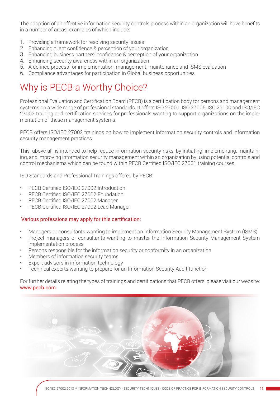The adoption of an effective information security controls process within an organization will have benefits in a number of areas, examples of which include:

- 1. Providing a framework for resolving security issues
- 2. Enhancing client confidence & perception of your organization
- 3. Enhancing business partners' confidence & perception of your organization
- 4. Enhancing security awareness within an organization
- 5. A defined process for implementation, management, maintenance and ISMS evaluation
- 6. Compliance advantages for participation in Global business opportunities

## Why is PECB a Worthy Choice?

Professional Evaluation and Certification Board (PECB) is a certification body for persons and management systems on a wide range of professional standards. It offers ISO 27001, ISO 27005, ISO 29100 and ISO/IEC 27002 training and certification services for professionals wanting to support organizations on the implementation of these management systems.

PECB offers ISO/IEC 27002 trainings on how to implement information security controls and information security management practices.

This, above all, is intended to help reduce information security risks, by initiating, implementing, maintaining, and improving information security management within an organization by using potential controls and control mechanisms which can be found within PECB Certified ISO/IEC 27001 training courses.

ISO Standards and Professional Trainings offered by PECB:

- PECB Certified ISO/IEC 27002 Introduction
- PECB Certified ISO/IEC 27002 Foundation
- PECB Certified ISO/IEC 27002 Manager
- PECB Certified ISO/IEC 27002 Lead Manager

#### Various professions may apply for this certification:

- Managers or consultants wanting to implement an Information Security Management System (ISMS)
- Project managers or consultants wanting to master the Information Security Management System implementation process
- Persons responsible for the information security or conformity in an organization
- Members of information security teams
- Expert advisors in information technology
- Technical experts wanting to prepare for an Information Security Audit function

For further details relating the types of trainings and certifications that PECB offers, please visit our website: www.pecb.com.